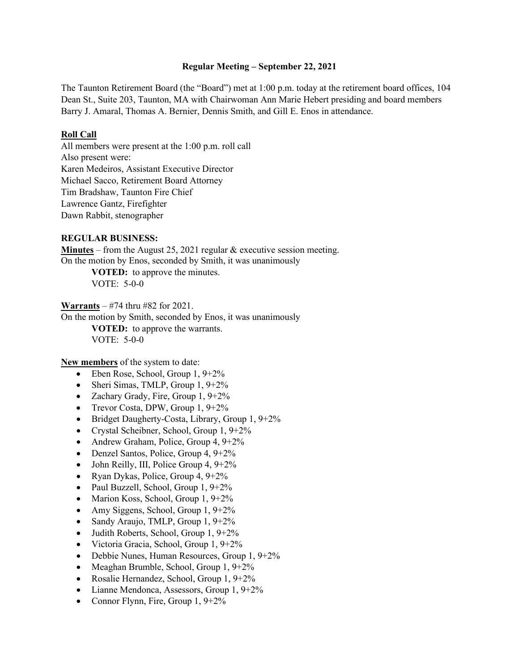### **Regular Meeting – September 22, 2021**

The Taunton Retirement Board (the "Board") met at 1:00 p.m. today at the retirement board offices, 104 Dean St., Suite 203, Taunton, MA with Chairwoman Ann Marie Hebert presiding and board members Barry J. Amaral, Thomas A. Bernier, Dennis Smith, and Gill E. Enos in attendance.

### **Roll Call**

All members were present at the 1:00 p.m. roll call Also present were: Karen Medeiros, Assistant Executive Director Michael Sacco, Retirement Board Attorney Tim Bradshaw, Taunton Fire Chief Lawrence Gantz, Firefighter Dawn Rabbit, stenographer

### **REGULAR BUSINESS:**

**Minutes** – from the August 25, 2021 regular & executive session meeting. On the motion by Enos, seconded by Smith, it was unanimously

> **VOTED:** to approve the minutes. VOTE: 5-0-0

**Warrants** – #74 thru #82 for 2021.

On the motion by Smith, seconded by Enos, it was unanimously **VOTED:** to approve the warrants. VOTE: 5-0-0

**New members** of the system to date:

- Eben Rose, School, Group  $1, 9+2\%$
- Sheri Simas, TMLP, Group 1, 9+2%
- Zachary Grady, Fire, Group 1, 9+2%
- Trevor Costa, DPW, Group  $1, 9+2\%$
- Bridget Daugherty-Costa, Library, Group 1, 9+2%
- Crystal Scheibner, School, Group 1, 9+2%
- Andrew Graham, Police, Group 4, 9+2%
- Denzel Santos, Police, Group  $4, 9+2\%$
- John Reilly, III, Police Group 4,  $9+2\%$
- Ryan Dykas, Police, Group 4,  $9+2\%$
- Paul Buzzell, School, Group 1, 9+2%
- Marion Koss, School, Group  $1, 9+2\%$
- Amy Siggens, School, Group  $1, 9+2\%$
- Sandy Araujo, TMLP, Group 1, 9+2%
- Judith Roberts, School, Group 1, 9+2%
- Victoria Gracia, School, Group 1, 9+2%
- Debbie Nunes, Human Resources, Group 1, 9+2%
- Meaghan Brumble, School, Group 1, 9+2%
- Rosalie Hernandez, School, Group 1, 9+2%
- Lianne Mendonca, Assessors, Group 1, 9+2%
- Connor Flynn, Fire, Group  $1, 9+2\%$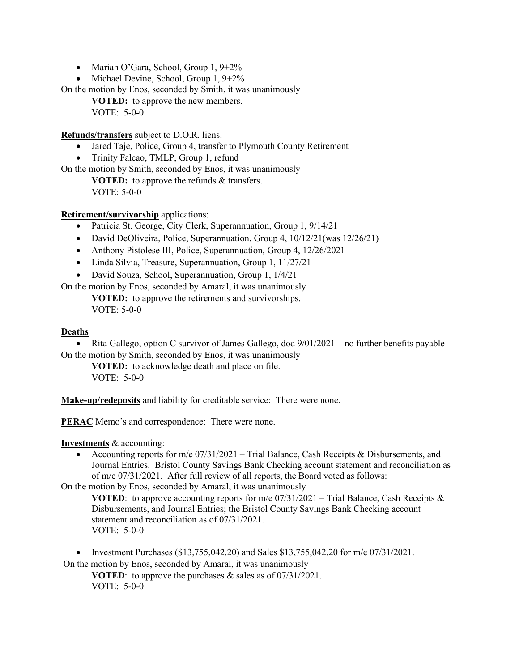- Mariah O'Gara, School, Group 1, 9+2%
- Michael Devine, School, Group 1, 9+2%

On the motion by Enos, seconded by Smith, it was unanimously

**VOTED:** to approve the new members. VOTE: 5-0-0

**Refunds/transfers** subject to D.O.R. liens:

- Jared Taje, Police, Group 4, transfer to Plymouth County Retirement
- Trinity Falcao, TMLP, Group 1, refund

On the motion by Smith, seconded by Enos, it was unanimously

**VOTED:** to approve the refunds & transfers. VOTE: 5-0-0

**Retirement/survivorship** applications:

- Patricia St. George, City Clerk, Superannuation, Group 1, 9/14/21
- David DeOliveira, Police, Superannuation, Group 4, 10/12/21 (was 12/26/21)
- Anthony Pistolese III, Police, Superannuation, Group 4, 12/26/2021
- Linda Silvia, Treasure, Superannuation, Group 1, 11/27/21
- David Souza, School, Superannuation, Group 1, 1/4/21

On the motion by Enos, seconded by Amaral, it was unanimously

**VOTED:** to approve the retirements and survivorships. VOTE: 5-0-0

### **Deaths**

• Rita Gallego, option C survivor of James Gallego, dod  $9/01/2021$  – no further benefits payable On the motion by Smith, seconded by Enos, it was unanimously

**VOTED:** to acknowledge death and place on file. VOTE: 5-0-0

**Make-up/redeposits** and liability for creditable service: There were none.

**PERAC** Memo's and correspondence: There were none.

**Investments** & accounting:

• Accounting reports for m/e 07/31/2021 – Trial Balance, Cash Receipts & Disbursements, and Journal Entries. Bristol County Savings Bank Checking account statement and reconciliation as of m/e 07/31/2021. After full review of all reports, the Board voted as follows:

On the motion by Enos, seconded by Amaral, it was unanimously

**VOTED:** to approve accounting reports for  $m/e$  07/31/2021 – Trial Balance, Cash Receipts & Disbursements, and Journal Entries; the Bristol County Savings Bank Checking account statement and reconciliation as of 07/31/2021. VOTE: 5-0-0

• Investment Purchases  $(\$13,755,042.20)$  and Sales  $\$13,755,042.20$  for m/e  $07/31/2021$ . On the motion by Enos, seconded by Amaral, it was unanimously

**VOTED**: to approve the purchases & sales as of 07/31/2021. VOTE: 5-0-0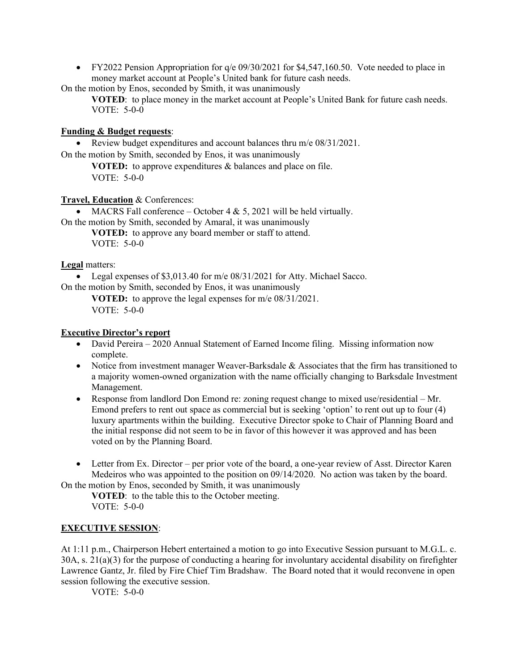• FY2022 Pension Appropriation for  $q/e$  09/30/2021 for \$4,547,160.50. Vote needed to place in money market account at People's United bank for future cash needs.

On the motion by Enos, seconded by Smith, it was unanimously

**VOTED:** to place money in the market account at People's United Bank for future cash needs. VOTE: 5-0-0

## **Funding & Budget requests**:

• Review budget expenditures and account balances thru m/e 08/31/2021.

On the motion by Smith, seconded by Enos, it was unanimously

**VOTED:** to approve expenditures & balances and place on file. VOTE: 5-0-0

## **Travel, Education** & Conferences:

• MACRS Fall conference – October  $4 \& 5$ , 2021 will be held virtually.

On the motion by Smith, seconded by Amaral, it was unanimously **VOTED:** to approve any board member or staff to attend. VOTE: 5-0-0

## **Legal** matters:

• Legal expenses of \$3,013.40 for m/e 08/31/2021 for Atty. Michael Sacco.

On the motion by Smith, seconded by Enos, it was unanimously

**VOTED:** to approve the legal expenses for m/e 08/31/2021. VOTE: 5-0-0

## **Executive Director's report**

- David Pereira 2020 Annual Statement of Earned Income filing. Missing information now complete.
- Notice from investment manager Weaver-Barksdale & Associates that the firm has transitioned to a majority women-owned organization with the name officially changing to Barksdale Investment Management.
- Response from landlord Don Emond re: zoning request change to mixed use/residential Mr. Emond prefers to rent out space as commercial but is seeking 'option' to rent out up to four (4) luxury apartments within the building. Executive Director spoke to Chair of Planning Board and the initial response did not seem to be in favor of this however it was approved and has been voted on by the Planning Board.
- Letter from Ex. Director per prior vote of the board, a one-year review of Asst. Director Karen Medeiros who was appointed to the position on 09/14/2020. No action was taken by the board.

On the motion by Enos, seconded by Smith, it was unanimously **VOTED**: to the table this to the October meeting.

VOTE: 5-0-0

# **EXECUTIVE SESSION**:

At 1:11 p.m., Chairperson Hebert entertained a motion to go into Executive Session pursuant to M.G.L. c. 30A, s. 21(a)(3) for the purpose of conducting a hearing for involuntary accidental disability on firefighter Lawrence Gantz, Jr. filed by Fire Chief Tim Bradshaw. The Board noted that it would reconvene in open session following the executive session.

VOTE: 5-0-0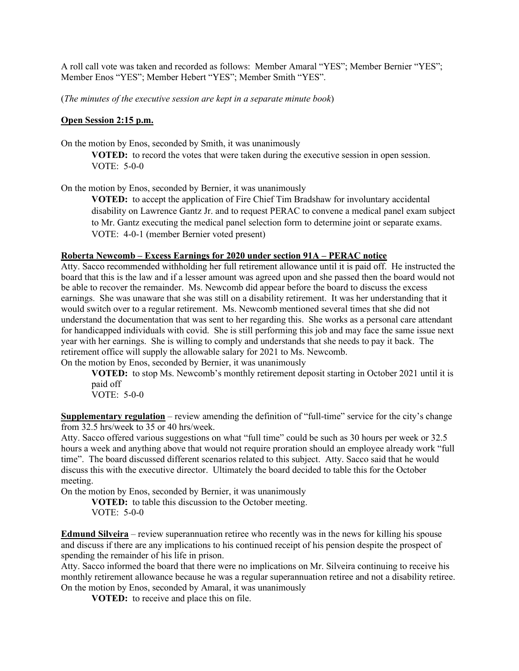A roll call vote was taken and recorded as follows: Member Amaral "YES"; Member Bernier "YES"; Member Enos "YES"; Member Hebert "YES"; Member Smith "YES".

(*The minutes of the executive session are kept in a separate minute book*)

### **Open Session 2:15 p.m.**

On the motion by Enos, seconded by Smith, it was unanimously

**VOTED:** to record the votes that were taken during the executive session in open session. VOTE: 5-0-0

On the motion by Enos, seconded by Bernier, it was unanimously

**VOTED:** to accept the application of Fire Chief Tim Bradshaw for involuntary accidental disability on Lawrence Gantz Jr. and to request PERAC to convene a medical panel exam subject to Mr. Gantz executing the medical panel selection form to determine joint or separate exams. VOTE: 4-0-1 (member Bernier voted present)

### **Roberta Newcomb – Excess Earnings for 2020 under section 91A – PERAC notice**

Atty. Sacco recommended withholding her full retirement allowance until it is paid off. He instructed the board that this is the law and if a lesser amount was agreed upon and she passed then the board would not be able to recover the remainder. Ms. Newcomb did appear before the board to discuss the excess earnings. She was unaware that she was still on a disability retirement. It was her understanding that it would switch over to a regular retirement. Ms. Newcomb mentioned several times that she did not understand the documentation that was sent to her regarding this. She works as a personal care attendant for handicapped individuals with covid. She is still performing this job and may face the same issue next year with her earnings. She is willing to comply and understands that she needs to pay it back. The retirement office will supply the allowable salary for 2021 to Ms. Newcomb.

On the motion by Enos, seconded by Bernier, it was unanimously

**VOTED:** to stop Ms. Newcomb's monthly retirement deposit starting in October 2021 until it is paid off

VOTE: 5-0-0

**Supplementary regulation** – review amending the definition of "full-time" service for the city's change from 32.5 hrs/week to 35 or 40 hrs/week.

Atty. Sacco offered various suggestions on what "full time" could be such as 30 hours per week or 32.5 hours a week and anything above that would not require proration should an employee already work "full time". The board discussed different scenarios related to this subject. Atty. Sacco said that he would discuss this with the executive director. Ultimately the board decided to table this for the October meeting.

On the motion by Enos, seconded by Bernier, it was unanimously

**VOTED:** to table this discussion to the October meeting. VOTE: 5-0-0

**Edmund Silveira** – review superannuation retiree who recently was in the news for killing his spouse and discuss if there are any implications to his continued receipt of his pension despite the prospect of spending the remainder of his life in prison.

Atty. Sacco informed the board that there were no implications on Mr. Silveira continuing to receive his monthly retirement allowance because he was a regular superannuation retiree and not a disability retiree. On the motion by Enos, seconded by Amaral, it was unanimously

**VOTED:** to receive and place this on file.